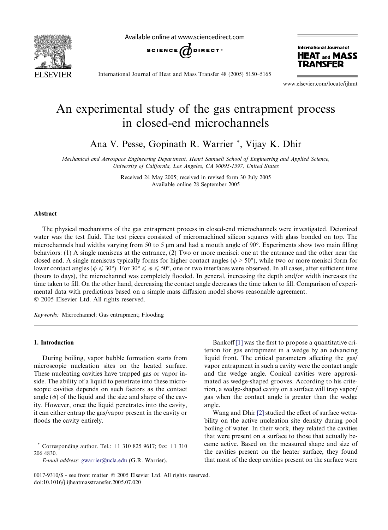

Available online at www.sciencedirect.com



International Journal of **HEAT and MASS TRANSFER** 

International Journal of Heat and Mass Transfer 48 (2005) 5150–5165

www.elsevier.com/locate/ijhmt

# An experimental study of the gas entrapment process in closed-end microchannels

Ana V. Pesse, Gopinath R. Warrier \*, Vijay K. Dhir

Mechanical and Aerospace Engineering Department, Henri Samueli School of Engineering and Applied Science, University of California, Los Angeles, CA 90095-1597, United States

> Received 24 May 2005; received in revised form 30 July 2005 Available online 28 September 2005

#### Abstract

The physical mechanisms of the gas entrapment process in closed-end microchannels were investigated. Deionized water was the test fluid. The test pieces consisted of micromachined silicon squares with glass bonded on top. The microchannels had widths varying from 50 to 5  $\mu$ m and had a mouth angle of 90°. Experiments show two main filling behaviors: (1) A single meniscus at the entrance, (2) Two or more menisci: one at the entrance and the other near the closed end. A single meniscus typically forms for higher contact angles ( $\phi > 50^{\circ}$ ), while two or more menisci form for lower contact angles ( $\phi \leq 30^{\circ}$ ). For  $30^{\circ} \leq \phi \leq 50^{\circ}$ , one or two interfaces were observed. In all cases, after sufficient time (hours to days), the microchannel was completely flooded. In general, increasing the depth and/or width increases the time taken to fill. On the other hand, decreasing the contact angle decreases the time taken to fill. Comparison of experimental data with predictions based on a simple mass diffusion model shows reasonable agreement.  $© 2005 Elsevier Ltd. All rights reserved.$ 

Keywords: Microchannel; Gas entrapment; Flooding

# 1. Introduction

During boiling, vapor bubble formation starts from microscopic nucleation sites on the heated surface. These nucleating cavities have trapped gas or vapor inside. The ability of a liquid to penetrate into these microscopic cavities depends on such factors as the contact angle  $(\phi)$  of the liquid and the size and shape of the cavity. However, once the liquid penetrates into the cavity, it can either entrap the gas/vapor present in the cavity or floods the cavity entirely.

Bankoff [\[1\]](#page-14-0) was the first to propose a quantitative criterion for gas entrapment in a wedge by an advancing liquid front. The critical parameters affecting the gas/ vapor entrapment in such a cavity were the contact angle and the wedge angle. Conical cavities were approximated as wedge-shaped grooves. According to his criterion, a wedge-shaped cavity on a surface will trap vapor/ gas when the contact angle is greater than the wedge angle.

Wang and Dhir [\[2\]](#page-14-0) studied the effect of surface wettability on the active nucleation site density during pool boiling of water. In their work, they related the cavities that were present on a surface to those that actually became active. Based on the measured shape and size of the cavities present on the heater surface, they found that most of the deep cavities present on the surface were

Corresponding author. Tel.:  $+1$  310 825 9617; fax:  $+1$  310 206 4830.

E-mail address: [gwarrier@ucla.edu](mailto:gwarrier@ucla.edu) (G.R. Warrier).

<sup>0017-9310/\$ -</sup> see front matter © 2005 Elsevier Ltd. All rights reserved. doi:10.1016/j.ijheatmasstransfer.2005.07.020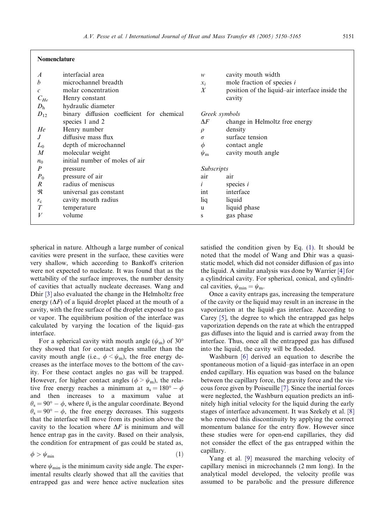| $\overline{A}$ | interfacial area                          | w                | cavity mouth width                              |  |
|----------------|-------------------------------------------|------------------|-------------------------------------------------|--|
| h              | microchannel breadth                      | $x_i$            | mole fraction of species <i>i</i>               |  |
| $\mathcal{C}$  | molar concentration                       | $\boldsymbol{X}$ | position of the liquid-air interface inside the |  |
| $C_{He}$       | Henry constant                            |                  | cavity                                          |  |
| D <sub>h</sub> | hydraulic diameter                        |                  |                                                 |  |
| $D_{12}$       | binary diffusion coefficient for chemical | Greek symbols    |                                                 |  |
|                | species 1 and 2                           | $\Delta F$       | change in Helmoltz free energy                  |  |
| He             | Henry number                              | $\rho$           | density                                         |  |
| .J             | diffusive mass flux                       | $\sigma$         | surface tension                                 |  |
| $L_0$          | depth of microchannel                     | $\phi$           | contact angle                                   |  |
| M              | molecular weight                          | $\psi_{\rm m}$   | cavity mouth angle                              |  |
| $n_0$          | initial number of moles of air            |                  |                                                 |  |
| P              | pressure                                  |                  | <b>Subscripts</b>                               |  |
| $P_0$          | pressure of air                           | air              | air                                             |  |
| R              | radius of meniscus                        |                  | species $i$                                     |  |
| R              | universal gas constant                    | int              | interface                                       |  |
| $r_{\rm c}$    | cavity mouth radius                       | liq              | liquid                                          |  |
| T              | temperature                               | u                | liquid phase                                    |  |
| V              | volume                                    | S                | gas phase                                       |  |
|                |                                           |                  |                                                 |  |

spherical in nature. Although a large number of conical cavities were present in the surface, these cavities were very shallow, which according to Bankoffs criterion were not expected to nucleate. It was found that as the wettability of the surface improves, the number density of cavities that actually nucleate decreases. Wang and Dhir [\[3\]](#page-14-0) also evaluated the change in the Helmholtz free energy  $(\Delta F)$  of a liquid droplet placed at the mouth of a cavity, with the free surface of the droplet exposed to gas or vapor. The equilibrium position of the interface was calculated by varying the location of the liquid–gas interface.

<span id="page-1-0"></span>Nomenclature

For a spherical cavity with mouth angle ( $\psi$ <sub>m</sub>) of 30° they showed that for contact angles smaller than the cavity mouth angle (i.e.,  $\phi < \psi_m$ ), the free energy decreases as the interface moves to the bottom of the cavity. For these contact angles no gas will be trapped. However, for higher contact angles ( $\phi > \psi_m$ ), the relative free energy reaches a minimum at  $\alpha_s = 180^\circ - \phi$ and then increases to a maximum value at  $\theta_s = 90^\circ - \phi$ , where  $\theta_s$  is the angular coordinate. Beyond  $\theta_s = 90^\circ - \phi$ , the free energy decreases. This suggests that the interface will move from its position above the cavity to the location where  $\Delta F$  is minimum and will hence entrap gas in the cavity. Based on their analysis, the condition for entrapment of gas could be stated as,

$$
\phi > \psi_{\min} \tag{1}
$$

where  $\psi_{\min}$  is the minimum cavity side angle. The experimental results clearly showed that all the cavities that entrapped gas and were hence active nucleation sites satisfied the condition given by Eq. (1). It should be noted that the model of Wang and Dhir was a quasistatic model, which did not consider diffusion of gas into the liquid. A similar analysis was done by Warrier [\[4\]](#page-14-0) for a cylindrical cavity. For spherical, conical, and cylindrical cavities,  $\psi_{\min} = \psi_{\min}$ .

Once a cavity entraps gas, increasing the temperature of the cavity or the liquid may result in an increase in the vaporization at the liquid–gas interface. According to Carey [\[5\]](#page-14-0), the degree to which the entrapped gas helps vaporization depends on the rate at which the entrapped gas diffuses into the liquid and is carried away from the interface. Thus, once all the entrapped gas has diffused into the liquid, the cavity will be flooded.

Washburn [\[6\]](#page-14-0) derived an equation to describe the spontaneous motion of a liquid–gas interface in an open ended capillary. His equation was based on the balance between the capillary force, the gravity force and the viscous force given by Poiseuille [\[7\]](#page-14-0). Since the inertial forces were neglected, the Washburn equation predicts an infinitely high initial velocity for the liquid during the early stages of interface advancement. It was Szekely et al. [\[8\]](#page-14-0) who removed this discontinuity by applying the correct momentum balance for the entry flow. However since these studies were for open-end capillaries, they did not consider the effect of the gas entrapped within the capillary.

Yang et al. [\[9\]](#page-14-0) measured the marching velocity of capillary menisci in microchannels (2 mm long). In the analytical model developed, the velocity profile was assumed to be parabolic and the pressure difference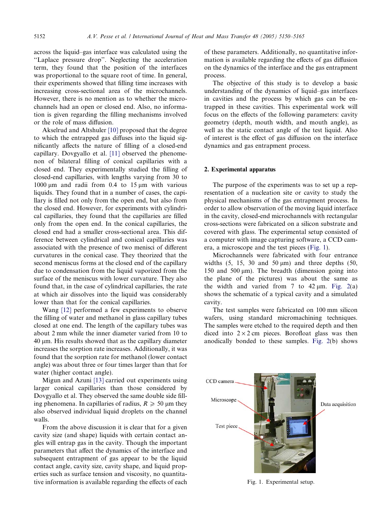across the liquid–gas interface was calculated using the ''Laplace pressure drop''. Neglecting the acceleration term, they found that the position of the interfaces was proportional to the square root of time. In general, their experiments showed that filling time increases with increasing cross-sectional area of the microchannels. However, there is no mention as to whether the microchannels had an open or closed end. Also, no information is given regarding the filling mechanisms involved or the role of mass diffusion.

Akselrud and Altshuler [\[10\]](#page-14-0) proposed that the degree to which the entrapped gas diffuses into the liquid significantly affects the nature of filling of a closed-end capillary. Dovgyallo et al. [\[11\]](#page-14-0) observed the phenomenon of bilateral filling of conical capillaries with a closed end. They experimentally studied the filling of closed-end capillaries, with lengths varying from 30 to 1000  $\mu$ m and radii from 0.4 to 15  $\mu$ m with various liquids. They found that in a number of cases, the capillary is filled not only from the open end, but also from the closed end. However, for experiments with cylindrical capillaries, they found that the capillaries are filled only from the open end. In the conical capillaries, the closed end had a smaller cross-sectional area. This difference between cylindrical and conical capillaries was associated with the presence of two menisci of different curvatures in the conical case. They theorized that the second meniscus forms at the closed end of the capillary due to condensation from the liquid vaporized from the surface of the meniscus with lower curvature. They also found that, in the case of cylindrical capillaries, the rate at which air dissolves into the liquid was considerably lower than that for the conical capillaries.

Wang [\[12\]](#page-14-0) performed a few experiments to observe the filling of water and methanol in glass capillary tubes closed at one end. The length of the capillary tubes was about 2 mm while the inner diameter varied from 10 to  $40 \mu$ m. His results showed that as the capillary diameter increases the sorption rate increases. Additionally, it was found that the sorption rate for methanol (lower contact angle) was about three or four times larger than that for water (higher contact angle).

Migun and Azuni [\[13\]](#page-14-0) carried out experiments using larger conical capillaries than those considered by Dovgyallo et al. They observed the same double side filling phenomena. In capillaries of radius,  $R \ge 50$  µm they also observed individual liquid droplets on the channel walls.

From the above discussion it is clear that for a given cavity size (and shape) liquids with certain contact angles will entrap gas in the cavity. Though the important parameters that affect the dynamics of the interface and subsequent entrapment of gas appear to be the liquid contact angle, cavity size, cavity shape, and liquid properties such as surface tension and viscosity, no quantitative information is available regarding the effects of each of these parameters. Additionally, no quantitative information is available regarding the effects of gas diffusion on the dynamics of the interface and the gas entrapment process.

The objective of this study is to develop a basic understanding of the dynamics of liquid–gas interfaces in cavities and the process by which gas can be entrapped in these cavities. This experimental work will focus on the effects of the following parameters: cavity geometry (depth, mouth width, and mouth angle), as well as the static contact angle of the test liquid. Also of interest is the effect of gas diffusion on the interface dynamics and gas entrapment process.

## 2. Experimental apparatus

The purpose of the experiments was to set up a representation of a nucleation site or cavity to study the physical mechanisms of the gas entrapment process. In order to allow observation of the moving liquid interface in the cavity, closed-end microchannels with rectangular cross-sections were fabricated on a silicon substrate and covered with glass. The experimental setup consisted of a computer with image capturing software, a CCD camera, a microscope and the test pieces (Fig. 1).

Microchannels were fabricated with four entrance widths  $(5, 15, 30, \text{ and } 50, \text{ }\mu\text{m})$  and three depths  $(50, 15, 15, 30, \text{ and } 50, \text{ }\mu\text{m})$ 150 and 500  $\mu$ m). The breadth (dimension going into the plane of the pictures) was about the same as the width and varied from 7 to  $42 \mu m$ . Fig.  $2(a)$ shows the schematic of a typical cavity and a simulated cavity.

The test samples were fabricated on 100 mm silicon wafers, using standard micromachining techniques. The samples were etched to the required depth and then diced into  $2 \times 2$  cm pieces. Borofloat glass was then anodically bonded to these samples. [Fig. 2\(](#page-3-0)b) shows

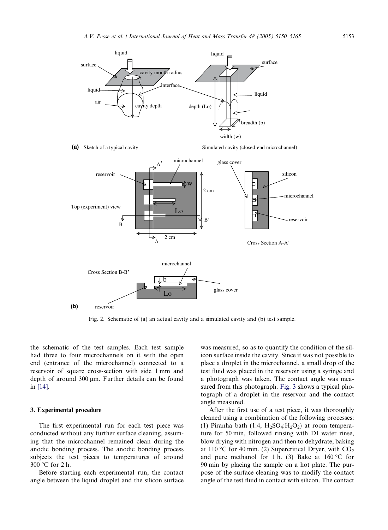<span id="page-3-0"></span>

Fig. 2. Schematic of (a) an actual cavity and a simulated cavity and (b) test sample.

the schematic of the test samples. Each test sample had three to four microchannels on it with the open end (entrance of the microchannel) connected to a reservoir of square cross-section with side 1 mm and depth of around 300 µm. Further details can be found in [\[14\].](#page-14-0)

#### 3. Experimental procedure

The first experimental run for each test piece was conducted without any further surface cleaning, assuming that the microchannel remained clean during the anodic bonding process. The anodic bonding process subjects the test pieces to temperatures of around 300 °C for 2 h.

Before starting each experimental run, the contact angle between the liquid droplet and the silicon surface was measured, so as to quantify the condition of the silicon surface inside the cavity. Since it was not possible to place a droplet in the microchannel, a small drop of the test fluid was placed in the reservoir using a syringe and a photograph was taken. The contact angle was measured from this photograph. [Fig. 3](#page-4-0) shows a typical photograph of a droplet in the reservoir and the contact angle measured.

After the first use of a test piece, it was thoroughly cleaned using a combination of the following processes: (1) Piranha bath (1:4,  $H_2SO_4:H_2O_2$ ) at room temperature for 50 min, followed rinsing with DI water rinse, blow drying with nitrogen and then to dehydrate, baking at 110 °C for 40 min. (2) Supercritical Dryer, with  $CO<sub>2</sub>$ and pure methanol for 1 h. (3) Bake at  $160^{\circ}$ C for 90 min by placing the sample on a hot plate. The purpose of the surface cleaning was to modify the contact angle of the test fluid in contact with silicon. The contact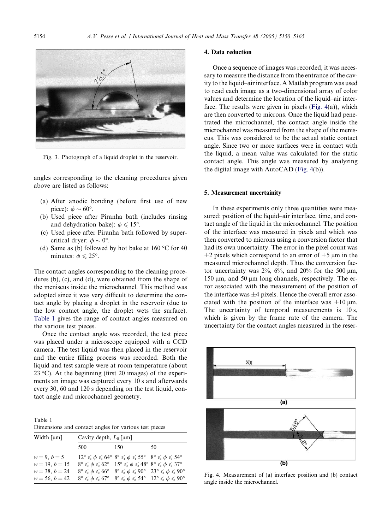<span id="page-4-0"></span>

Fig. 3. Photograph of a liquid droplet in the reservoir.

angles corresponding to the cleaning procedures given above are listed as follows:

- (a) After anodic bonding (before first use of new piece):  $\phi \sim 60^{\circ}$ .
- (b) Used piece after Piranha bath (includes rinsing and dehydration bake):  $\phi \leq 15^{\circ}$ .
- (c) Used piece after Piranha bath followed by supercritical dryer:  $\phi \sim 0^{\circ}$ .
- (d) Same as (b) followed by hot bake at  $160^{\circ}$ C for 40 minutes:  $\phi \leq 25^{\circ}$ .

The contact angles corresponding to the cleaning procedures (b), (c), and (d), were obtained from the shape of the meniscus inside the microchannel. This method was adopted since it was very difficult to determine the contact angle by placing a droplet in the reservoir (due to the low contact angle, the droplet wets the surface). Table 1 gives the range of contact angles measured on the various test pieces.

Once the contact angle was recorded, the test piece was placed under a microscope equipped with a CCD camera. The test liquid was then placed in the reservoir and the entire filling process was recorded. Both the liquid and test sample were at room temperature (about 23 °C). At the beginning (first 20 images) of the experiments an image was captured every 10 s and afterwards every 30, 60 and 120 s depending on the test liquid, contact angle and microchannel geometry.

Table 1 Dimensions and contact angles for various test pieces

| Width $\lceil \mu m \rceil$ | Cavity depth, $L_0$ [µm] |                                                                                                                                                  |    |
|-----------------------------|--------------------------|--------------------------------------------------------------------------------------------------------------------------------------------------|----|
|                             | 500                      | 150                                                                                                                                              | 50 |
| $w = 9, b = 5$              |                          | $12^{\circ} \leqslant \phi \leqslant 64^{\circ} 8^{\circ} \leqslant \phi \leqslant 55^{\circ} 8^{\circ} \leqslant \phi \leqslant 54^{\circ}$     |    |
| $w = 19, b = 15$            |                          | $8^{\circ} \leqslant \phi \leqslant 62^{\circ}$ 15° $\leqslant \phi \leqslant 48^{\circ}$ 8° $\leqslant \phi \leqslant 37^{\circ}$               |    |
| $w = 38, b = 24$            |                          | $8^{\circ} \leqslant \phi \leqslant 66^{\circ}$ $8^{\circ} \leqslant \phi \leqslant 90^{\circ}$ $23^{\circ} \leqslant \phi \leqslant 90^{\circ}$ |    |
| $w = 56, b = 42$            |                          | $8^{\circ} \leqslant \phi \leqslant 67^{\circ}$ $8^{\circ} \leqslant \phi \leqslant 54^{\circ}$ $12^{\circ} \leqslant \phi \leqslant 90^{\circ}$ |    |

# 4. Data reduction

Once a sequence of images was recorded, it was necessary to measure the distance from the entrance of the cavity to the liquid–air interface. AMatlab program was used to read each image as a two-dimensional array of color values and determine the location of the liquid–air interface. The results were given in pixels (Fig. 4(a)), which are then converted to microns. Once the liquid had penetrated the microchannel, the contact angle inside the microchannel was measured from the shape of the meniscus. This was considered to be the actual static contact angle. Since two or more surfaces were in contact with the liquid, a mean value was calculated for the static contact angle. This angle was measured by analyzing the digital image with AutoCAD(Fig. 4(b)).

#### 5. Measurement uncertainity

In these experiments only three quantities were measured: position of the liquid–air interface, time, and contact angle of the liquid in the microchannel. The position of the interface was measured in pixels and which was then converted to microns using a conversion factor that had its own uncertainty. The error in the pixel count was  $\pm 2$  pixels which correspond to an error of  $\pm 5$  µm in the measured microchannel depth. Thus the conversion factor uncertainty was  $2\%$ ,  $6\%$ , and  $20\%$  for the 500 µm,  $150 \mu m$ , and  $50 \mu m$  long channels, respectively. The error associated with the measurement of the position of the interface was  $\pm 4$  pixels. Hence the overall error associated with the position of the interface was  $\pm 10 \text{ }\mu\text{m}$ . The uncertainty of temporal measurements is 10 s, which is given by the frame rate of the camera. The uncertainty for the contact angles measured in the reser-



Fig. 4. Measurement of (a) interface position and (b) contact angle inside the microchannel.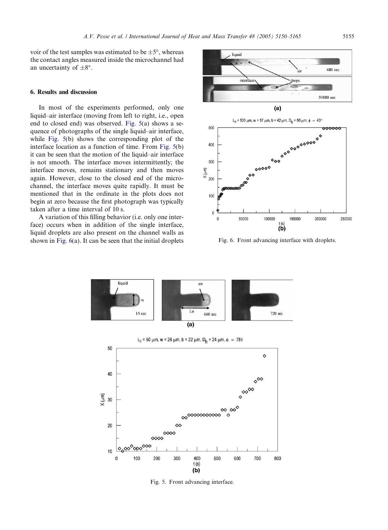<span id="page-5-0"></span>voir of the test samples was estimated to be  $\pm 5^{\circ}$ , whereas the contact angles measured inside the microchannel had an uncertainty of  $\pm 8^\circ$ .

# 6. Results and discussion

In most of the experiments performed, only one liquid–air interface (moving from left to right, i.e., open end to closed end) was observed. Fig. 5(a) shows a sequence of photographs of the single liquid–air interface, while Fig. 5(b) shows the corresponding plot of the interface location as a function of time. From Fig. 5(b) it can be seen that the motion of the liquid–air interface is not smooth. The interface moves intermittently; the interface moves, remains stationary and then moves again. However, close to the closed end of the microchannel, the interface moves quite rapidly. It must be mentioned that in the ordinate in the plots does not begin at zero because the first photograph was typically taken after a time interval of 10 s.

A variation of this filling behavior (i.e. only one interface) occurs when in addition of the single interface, liquid droplets are also present on the channel walls as shown in Fig. 6(a). It can be seen that the initial droplets



Fig. 6. Front advancing interface with droplets.



Fig. 5. Front advancing interface.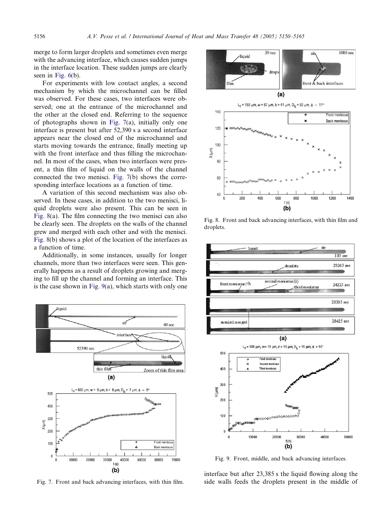<span id="page-6-0"></span>merge to form larger droplets and sometimes even merge with the advancing interface, which causes sudden jumps in the interface location. These sudden jumps are clearly seen in [Fig. 6\(](#page-5-0)b).

For experiments with low contact angles, a second mechanism by which the microchannel can be filled was observed. For these cases, two interfaces were observed; one at the entrance of the microchannel and the other at the closed end. Referring to the sequence of photographs shown in Fig. 7(a), initially only one interface is present but after 52,390 s a second interface appears near the closed end of the microchannel and starts moving towards the entrance, finally meeting up with the front interface and thus filling the microchannel. In most of the cases, when two interfaces were present, a thin film of liquid on the walls of the channel connected the two menisci. Fig. 7(b) shows the corresponding interface locations as a function of time.

A variation of this second mechanism was also observed. In these cases, in addition to the two menisci, liquid droplets were also present. This can be seen in Fig. 8(a). The film connecting the two menisci can also be clearly seen. The droplets on the walls of the channel grew and merged with each other and with the menisci. Fig. 8(b) shows a plot of the location of the interfaces as a function of time.

Additionally, in some instances, usually for longer channels, more than two interfaces were seen. This generally happens as a result of droplets growing and merging to fill up the channel and forming an interface. This is the case shown in Fig. 9(a), which starts with only one





Fig. 8. Front and back advancing interfaces, with thin film and droplets.



Fig. 9. Front, middle, and back advancing interfaces.

interface but after 23,385 s the liquid flowing along the Fig. 7. Front and back advancing interfaces, with thin film. side walls feeds the droplets present in the middle of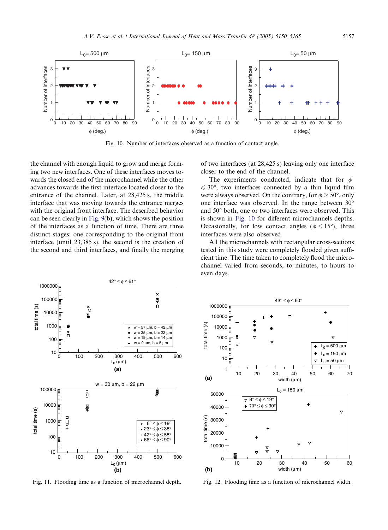<span id="page-7-0"></span>

Fig. 10. Number of interfaces observed as a function of contact angle.

the channel with enough liquid to grow and merge forming two new interfaces. One of these interfaces moves towards the closed end of the microchannel while the other advances towards the first interface located closer to the entrance of the channel. Later, at 28,425 s, the middle interface that was moving towards the entrance merges with the original front interface. The described behavior can be seen clearly in [Fig. 9\(](#page-6-0)b), which shows the position of the interfaces as a function of time. There are three distinct stages: one corresponding to the original front interface (until 23,385 s), the second is the creation of the second and third interfaces, and finally the merging

of two interfaces (at 28,425 s) leaving only one interface closer to the end of the channel.

The experiments conducted, indicate that for  $\phi$  $\leq 30^{\circ}$ , two interfaces connected by a thin liquid film were always observed. On the contrary, for  $\phi > 50^{\circ}$ , only one interface was observed. In the range between 30 and  $50^{\circ}$  both, one or two interfaces were observed. This is shown in Fig. 10 for different microchannels depths. Occasionally, for low contact angles ( $\phi$  < 15°), three interfaces were also observed.

All the microchannels with rectangular cross-sections tested in this study were completely flooded given sufficient time. The time taken to completely flood the microchannel varied from seconds, to minutes, to hours to even days.



Fig. 11. Flooding time as a function of microchannel depth.



Fig. 12. Flooding time as a function of microchannel width.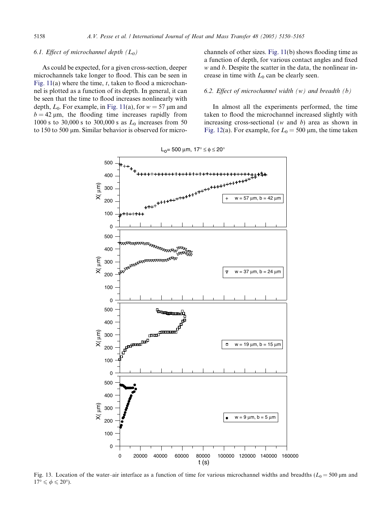#### <span id="page-8-0"></span>6.1. Effect of microchannel depth  $(L_0)$

As could be expected, for a given cross-section, deeper microchannels take longer to flood. This can be seen in Fig.  $11(a)$  where the time, t, taken to flood a microchannel is plotted as a function of its depth. In general, it can be seen that the time to flood increases nonlinearly with depth,  $L_0$ . For example, in [Fig. 11\(](#page-7-0)a), for  $w = 57 \mu m$  and  $b = 42 \mu m$ , the flooding time increases rapidly from 1000 s to 30,000 s to 300,000 s as  $L_0$  increases from 50 to 150 to 500 µm. Similar behavior is observed for microchannels of other sizes. [Fig. 11\(](#page-7-0)b) shows flooding time as a function of depth, for various contact angles and fixed  $w$  and  $b$ . Despite the scatter in the data, the nonlinear increase in time with  $L_0$  can be clearly seen.

#### 6.2. Effect of microchannel width  $(w)$  and breadth  $(b)$

In almost all the experiments performed, the time taken to flood the microchannel increased slightly with increasing cross-sectional ( $w$  and  $b$ ) area as shown in [Fig. 12\(](#page-7-0)a). For example, for  $L_0 = 500 \text{ µm}$ , the time taken



Fig. 13. Location of the water–air interface as a function of time for various microchannel widths and breadths ( $L_0 = 500 \mu m$  and  $17^{\circ} \leqslant \phi \leqslant 20^{\circ}$ ).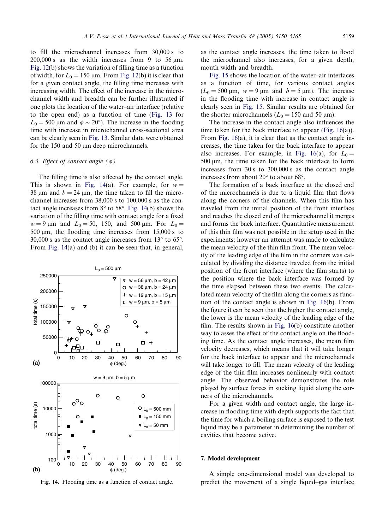to fill the microchannel increases from 30,000 s to  $200,000$  s as the width increases from 9 to 56  $\mu$ m. [Fig. 12\(](#page-7-0)b) shows the variation of filling time as a function of width, for  $L_0 = 150 \text{ µm}$ . From [Fig. 12](#page-7-0)(b) it is clear that for a given contact angle, the filling time increases with increasing width. The effect of the increase in the microchannel width and breadth can be further illustrated if one plots the location of the water–air interface (relative to the open end) as a function of time ([Fig. 13](#page-8-0) for  $L_0 = 500 \,\mu \text{m}$  and  $\phi \sim 20^{\circ}$ ). The increase in the flooding time with increase in microchannel cross-sectional area can be clearly seen in [Fig. 13.](#page-8-0) Similar data were obtained for the 150 and 50  $\mu$ m deep microchannels.

# 6.3. Effect of contact angle  $(\phi)$

The filling time is also affected by the contact angle. This is shown in Fig. 14(a). For example, for  $w =$ 38 um and  $b = 24$  um, the time taken to fill the microchannel increases from 38,000 s to 100,000 s as the contact angle increases from  $8^\circ$  to  $58^\circ$ . Fig. 14(b) shows the variation of the filling time with contact angle for a fixed  $w = 9 \mu m$  and  $L_0 = 50$ , 150, and 500  $\mu$ m. For  $L_0 =$ 500  $\mu$ m, the flooding time increases from 15,000 s to 30,000 s as the contact angle increases from  $13^{\circ}$  to  $65^{\circ}$ . From Fig. 14(a) and (b) it can be seen that, in general,



Fig. 14. Flooding time as a function of contact angle.

as the contact angle increases, the time taken to flood the microchannel also increases, for a given depth, mouth width and breadth.

[Fig. 15](#page-10-0) shows the location of the water–air interfaces as a function of time, for various contact angles  $(L_0 = 500 \text{ µm}, w = 9 \text{ µm} \text{ and } b = 5 \text{ µm}.$  The increase in the flooding time with increase in contact angle is clearly seen in [Fig. 15](#page-10-0). Similar results are obtained for the shorter microchannels ( $L_0 = 150$  and 50 µm).

The increase in the contact angle also influences the time taken for the back interface to appear ([Fig. 16\(](#page-11-0)a)). From [Fig. 16\(](#page-11-0)a), it is clear that as the contact angle increases, the time taken for the back interface to appear also increases. For example, in [Fig. 16\(](#page-11-0)a), for  $L_0 =$  $500 \mu m$ , the time taken for the back interface to form increases from 30 s to 300,000 s as the contact angle increases from about  $20^{\circ}$  to about 68 $^{\circ}$ .

The formation of a back interface at the closed end of the microchannels is due to a liquid film that flows along the corners of the channels. When this film has traveled from the initial position of the front interface and reaches the closed end of the microchannel it merges and forms the back interface. Quantitative measurement of this thin film was not possible in the setup used in the experiments; however an attempt was made to calculate the mean velocity of the thin film front. The mean velocity of the leading edge of the film in the corners was calculated by dividing the distance traveled from the initial position of the front interface (where the film starts) to the position where the back interface was formed by the time elapsed between these two events. The calculated mean velocity of the film along the corners as function of the contact angle is shown in [Fig. 16](#page-11-0)(b). From the figure it can be seen that the higher the contact angle, the lower is the mean velocity of the leading edge of the film. The results shown in [Fig. 16\(](#page-11-0)b) constitute another way to asses the effect of the contact angle on the flooding time. As the contact angle increases, the mean film velocity decreases, which means that it will take longer for the back interface to appear and the microchannels will take longer to fill. The mean velocity of the leading edge of the thin film increases nonlinearly with contact angle. The observed behavior demonstrates the role played by surface forces in sucking liquid along the corners of the microchannels.

For a given width and contact angle, the large increase in flooding time with depth supports the fact that the time for which a boiling surface is exposed to the test liquid may be a parameter in determining the number of cavities that become active.

#### 7. Model development

A simple one-dimensional model was developed to predict the movement of a single liquid–gas interface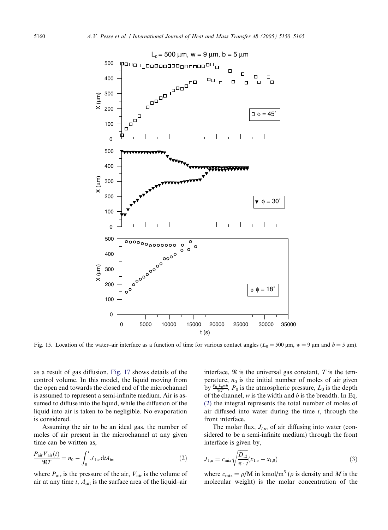<span id="page-10-0"></span>

Fig. 15. Location of the water–air interface as a function of time for various contact angles ( $L_0 = 500 \text{ µm}$ ,  $w = 9 \text{ µm}$  and  $b = 5 \text{ µm}$ ).

as a result of gas diffusion. [Fig. 17](#page-11-0) shows details of the control volume. In this model, the liquid moving from the open end towards the closed end of the microchannel is assumed to represent a semi-infinite medium. Air is assumed to diffuse into the liquid, while the diffusion of the liquid into air is taken to be negligible. No evaporation is considered.

Assuming the air to be an ideal gas, the number of moles of air present in the microchannel at any given time can be written as,

$$
\frac{P_{\text{air}}V_{\text{air}}(t)}{\mathfrak{R}T} = n_0 - \int_0^t J_{1,u} \, \mathrm{d}t A_{\text{int}} \tag{2}
$$

where  $P_{\text{air}}$  is the pressure of the air,  $V_{\text{air}}$  is the volume of air at any time  $t$ ,  $A<sub>int</sub>$  is the surface area of the liquid–air interface,  $\Re$  is the universal gas constant,  $T$  is the temperature,  $n_0$  is the initial number of moles of air given by  $\frac{P_0 L_0 w b}{\Re T}$ ,  $P_0$  is the atmospheric pressure,  $L_0$  is the depth of the channel,  $w$  is the width and  $b$  is the breadth. In Eq. (2) the integral represents the total number of moles of air diffused into water during the time  $t$ , through the front interface.

The molar flux,  $J_{i,u}$ , of air diffusing into water (considered to be a semi-infinite medium) through the front interface is given by,

$$
J_{1,u} = c_{\text{mix}} \sqrt{\frac{D_{12}}{\pi \cdot t}} (x_{1,u} - x_{1,0})
$$
\n(3)

where  $c_{\text{mix}} = \rho/M$  in kmol/m<sup>3</sup> ( $\rho$  is density and M is the molecular weight) is the molar concentration of the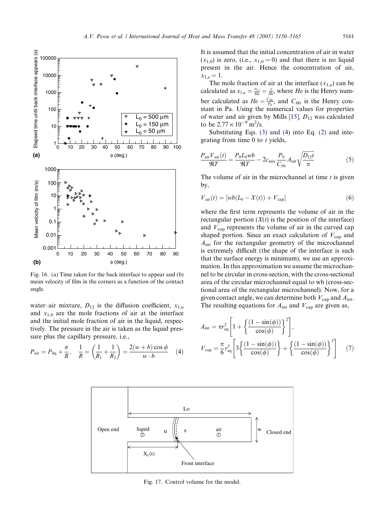<span id="page-11-0"></span>

Fig. 16. (a) Time taken for the back interface to appear and (b) mean velocity of film in the corners as a function of the contact angle.

water–air mixture,  $D_{12}$  is the diffusion coefficient,  $x_{1,u}$ and  $x_{1,0}$  are the mole fractions of air at the interface and the initial mole fraction of air in the liquid, respectively. The pressure in the air is taken as the liquid pressure plus the capillary pressure, i.e.,

$$
P_{\text{air}} = P_{\text{liq}} + \frac{\sigma}{R}, \quad \frac{1}{R} = \left(\frac{1}{R_1} + \frac{1}{R_2}\right) = \frac{2(w + b)\cos\phi}{w \cdot b} \quad (4)
$$

It is assumed that the initial concentration of air in water  $(x_{1,0})$  is zero, (i.e.,  $x_{1,0} = 0$ ) and that there is no liquid present in the air. Hence the concentration of air,  $x_{1,s} = 1.$ 

The mole fraction of air at the interface  $(x_{1,u})$  can be calculated as  $x_{1,u} = \frac{x_{1,s}}{He} = \frac{1}{He}$ , where *He* is the Henry number calculated as  $He = \frac{C_{He}}{P_0}$ , and  $C_{He}$  is the Henry constant in Pa. Using the numerical values for properties of water and air given by Mills [\[15\]](#page-14-0),  $D_{12}$  was calculated to be  $2.77 \times 10^{-9}$  m<sup>2</sup>/s.

Substituting Eqs. [\(3\) and \(4\)](#page-10-0) into Eq. [\(2\)](#page-10-0) and integrating from time  $0$  to  $t$  yields,

$$
\frac{P_{\text{air}}V_{\text{air}}(t)}{\Re T} = \frac{P_0L_0wb}{\Re T} - 2c_{\text{mix}}\frac{P_0}{C_{He}}A_{\text{int}}\sqrt{\frac{D_{12}t}{\pi}}
$$
(5)

The volume of air in the microchannel at time  $t$  is given by,

$$
V_{\text{air}}(t) = [wb(L_0 - X(t)) + V_{\text{cap}}]
$$
\n(6)

where the first term represents the volume of air in the rectangular portion  $(X(t))$  is the position of the interface) and  $V_{\text{cap}}$  represents the volume of air in the curved cap shaped portion. Since an exact calculation of  $V_{\text{cap}}$  and  $A<sub>int</sub>$  for the rectangular geometry of the microchannel is extremely difficult (the shape of the interface is such that the surface energy is minimum), we use an approximation. In this approximation we assume the microchannel to be circular in cross-section, with the cross-sectional area of the circular microchannel equal to wb (cross-sectional area of the rectangular microchannel). Now, for a given contact angle, we can determine both  $V_{\text{cap}}$  and  $A_{\text{int}}$ . The resulting equations for  $A_{int}$  and  $V_{cap}$  are given as,

$$
A_{\rm int} = \pi r_{\rm eq}^2 \left[ 1 + \left\{ \frac{(1 - \sin(\phi))}{\cos(\phi)} \right\}^2 \right],
$$
  

$$
V_{\rm cap} = \frac{\pi}{6} r_{\rm eq}^3 \left[ 3 \left\{ \frac{(1 - \sin(\phi))}{\cos(\phi)} \right\} + \left\{ \frac{(1 - \sin(\phi))}{\cos(\phi)} \right\}^3 \right] \tag{7}
$$



Fig. 17. Control volume for the model.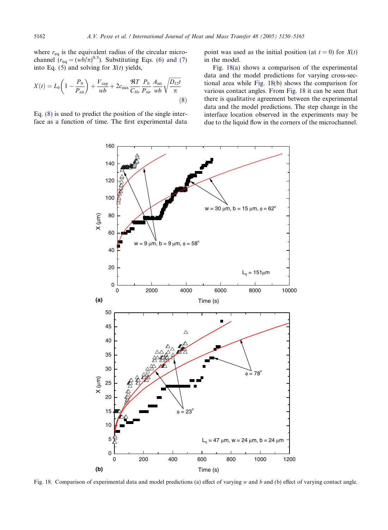where  $r_{eq}$  is the equivalent radius of the circular microchannel  $(r_{\text{eq}} = (wb/\pi)^{0.5})$ . Substituting Eqs. [\(6\) and \(7\)](#page-11-0) into Eq. [\(5\)](#page-11-0) and solving for  $X(t)$  yields,

$$
X(t) = L_0 \left( 1 - \frac{P_0}{P_{\text{air}}} \right) + \frac{V_{\text{cap}}}{wb} + 2c_{\text{mix}} \frac{\Re T}{C_{He}} \frac{P_0}{P_{\text{air}}} \frac{A_{\text{int}}}{wb} \sqrt{\frac{D_{12}t}{\pi}}
$$
\n(8)

Eq. (8) is used to predict the position of the single interface as a function of time. The first experimental data point was used as the initial position (at  $t = 0$ ) for  $X(t)$ in the model.

Fig. 18(a) shows a comparison of the experimental data and the model predictions for varying cross-sectional area while Fig. 18(b) shows the comparison for various contact angles. From Fig. 18 it can be seen that there is qualitative agreement between the experimental data and the model predictions. The step change in the interface location observed in the experiments may be due to the liquid flow in the corners of the microchannel.



Fig. 18. Comparison of experimental data and model predictions (a) effect of varying w and b and (b) effect of varying contact angle.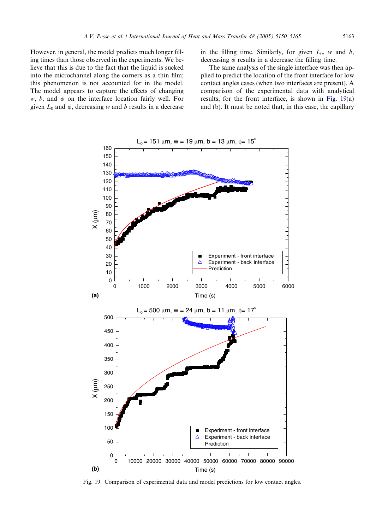<span id="page-13-0"></span>However, in general, the model predicts much longer filling times than those observed in the experiments. We believe that this is due to the fact that the liquid is sucked into the microchannel along the corners as a thin film; this phenomenon is not accounted for in the model. The model appears to capture the effects of changing w, b, and  $\phi$  on the interface location fairly well. For given  $L_0$  and  $\phi$ , decreasing w and b results in a decrease in the filling time. Similarly, for given  $L_0$ , w and b, decreasing  $\phi$  results in a decrease the filling time.

The same analysis of the single interface was then applied to predict the location of the front interface for low contact angles cases (when two interfaces are present). A comparison of the experimental data with analytical results, for the front interface, is shown in Fig. 19(a) and (b). It must be noted that, in this case, the capillary



Fig. 19. Comparison of experimental data and model predictions for low contact angles.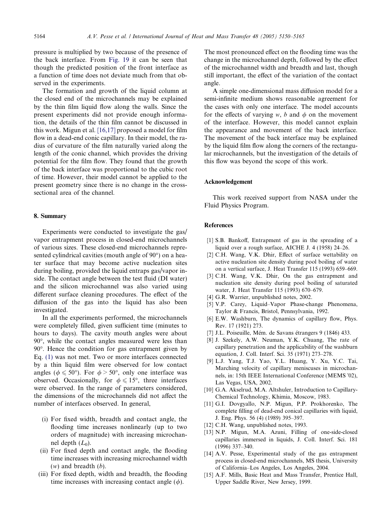<span id="page-14-0"></span>pressure is multiplied by two because of the presence of the back interface. From [Fig. 19](#page-13-0) it can be seen that though the predicted position of the front interface as a function of time does not deviate much from that observed in the experiments.

The formation and growth of the liquid column at the closed end of the microchannels may be explained by the thin film liquid flow along the walls. Since the present experiments did not provide enough information, the details of the thin film cannot be discussed in this work. Migun et al. [\[16,17\]](#page-15-0) proposed a model for film flow in a dead-end conic capillary. In their model, the radius of curvature of the film naturally varied along the length of the conic channel, which provides the driving potential for the film flow. They found that the growth of the back interface was proportional to the cubic root of time. However, their model cannot be applied to the present geometry since there is no change in the crosssectional area of the channel.

# 8. Summary

Experiments were conducted to investigate the gas/ vapor entrapment process in closed-end microchannels of various sizes. These closed-end microchannels represented cylindrical cavities (mouth angle of 90°) on a heater surface that may become active nucleation sites during boiling, provided the liquid entraps gas/vapor inside. The contact angle between the test fluid (DI water) and the silicon microchannel was also varied using different surface cleaning procedures. The effect of the diffusion of the gas into the liquid has also been investigated.

In all the experiments performed, the microchannels were completely filled, given sufficient time (minutes to hours to days). The cavity mouth angles were about 90°, while the contact angles measured were less than 90. Hence the condition for gas entrapment given by Eq. [\(1\)](#page-1-0) was not met. Two or more interfaces connected by a thin liquid film were observed for low contact angles ( $\phi \le 50^{\circ}$ ). For  $\phi > 50^{\circ}$ , only one interface was observed. Occasionally, for  $\phi \leq 15^{\circ}$ , three interfaces were observed. In the range of parameters considered, the dimensions of the microchannels did not affect the number of interfaces observed. In general,

- (i) For fixed width, breadth and contact angle, the flooding time increases nonlinearly (up to two orders of magnitude) with increasing microchannel depth  $(L_0)$ .
- (ii) For fixed depth and contact angle, the flooding time increases with increasing microchannel width  $(w)$  and breadth  $(b)$ .
- (iii) For fixed depth, width and breadth, the flooding time increases with increasing contact angle  $(\phi)$ .

The most pronounced effect on the flooding time was the change in the microchannel depth, followed by the effect of the microchannel width and breadth and last, though still important, the effect of the variation of the contact angle.

A simple one-dimensional mass diffusion model for a semi-infinite medium shows reasonable agreement for the cases with only one interface. The model accounts for the effects of varying w, b and  $\phi$  on the movement of the interface. However, this model cannot explain the appearance and movement of the back interface. The movement of the back interface may be explained by the liquid film flow along the corners of the rectangular microchannels, but the investigation of the details of this flow was beyond the scope of this work.

# Acknowledgement

This work received support from NASA under the Fluid Physics Program.

## References

- [1] S.B. Bankoff, Entrapment of gas in the spreading of a liquid over a rough surface, AICHE J. 4 (1958) 24–26.
- [2] C.H. Wang, V.K. Dhir, Effect of surface wettability on active nucleation site density during pool boiling of water on a vertical surface, J. Heat Transfer 115 (1993) 659–669.
- [3] C.H. Wang, V.K. Dhir, On the gas entrapment and nucleation site density during pool boiling of saturated water, J. Heat Transfer 115 (1993) 670–679.
- [4] G.R. Warrier, unpublished notes, 2002.
- [5] V.P. Carey, Liquid–Vapor Phase-change Phenomena, Taylor & Francis, Bristol, Pennsylvania, 1992.
- [6] E.W. Washburn, The dynamics of capillary flow, Phys. Rev. 17 (1921) 273.
- [7] J.L. Poiseuille, Mém. de Savans étrangers 9 (1846) 433.
- [8] J. Szekely, A.W. Neuman, Y.K. Chuang, The rate of capillary penetration and the applicability of the washburn equation, J. Coll. Interf. Sci. 35 (1971) 273–278.
- [9] L.J. Yang, T.J. Yao, Y.L. Huang, Y. Xu, Y.C. Tai, Marching velocity of capillary meniscuses in microchannels, in: 15th IEEE International Conference (MEMS '02), Las Vegas, USA, 2002.
- [10] G.A. Akselrud, M.A. Altshuler, Introduction to Capillary-Chemical Technology, Khimia, Moscow, 1983.
- [11] G.I. Dovgyallo, N.P. Migun, P.P. Prokhorenko, The complete filling of dead-end conical capillaries with liquid, J. Eng. Phys. 56 (4) (1989) 395–397.
- [12] C.H. Wang, unpublished notes, 1993.
- [13] N.P. Migun, M.A. Azuni, Filling of one-side-closed capillaries immersed in liquids, J. Coll. Interf. Sci. 181 (1996) 337–340.
- [14] A.V. Pesse, Experimental study of the gas entrapment process in closed-end microchannels, MS thesis, University of California–Los Angeles, Los Angeles, 2004.
- [15] A.F. Mills, Basic Heat and Mass Transfer, Prentice Hall, Upper Saddle River, New Jersey, 1999.